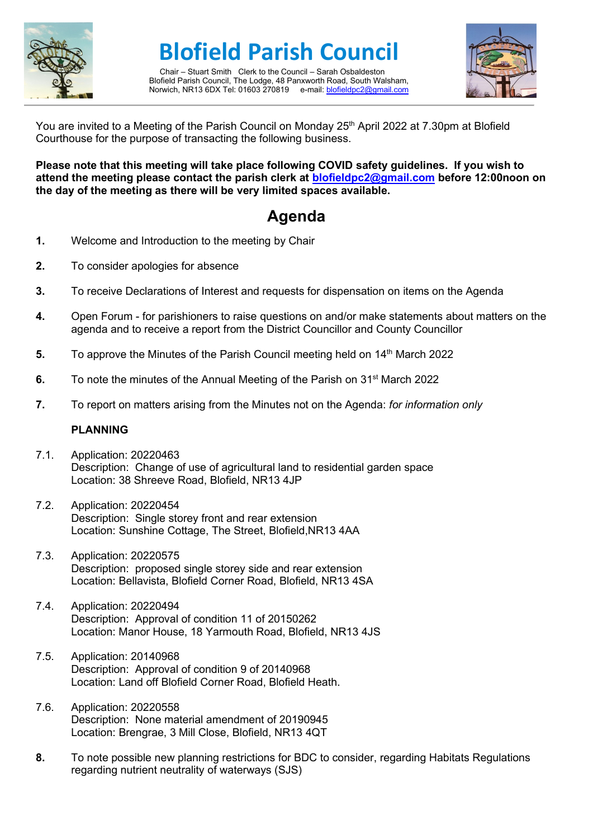

**Blofield Parish Council**

Chair – Stuart Smith Clerk to the Council – Sarah Osbaldeston Blofield Parish Council, The Lodge, 48 Panxworth Road, South Walsham, Norwich, NR13 6DX Tel: 01603 270819 e-mail[: blofieldpc2@gmail.com](mailto:blofieldpc2@gmail.com)



You are invited to a Meeting of the Parish Council on Monday 25<sup>th</sup> April 2022 at 7.30pm at Blofield Courthouse for the purpose of transacting the following business.

**Please note that this meeting will take place following COVID safety guidelines. If you wish to attend the meeting please contact the parish clerk at [blofieldpc2@gmail.com](mailto:blofieldpc2@gmail.com) before 12:00noon on the day of the meeting as there will be very limited spaces available.** 

## **Agenda**

- **1.** Welcome and Introduction to the meeting by Chair
- **2.** To consider apologies for absence
- **3.** To receive Declarations of Interest and requests for dispensation on items on the Agenda
- **4.** Open Forum for parishioners to raise questions on and/or make statements about matters on the agenda and to receive a report from the District Councillor and County Councillor
- **5.** To approve the Minutes of the Parish Council meeting held on 14<sup>th</sup> March 2022
- **6.** To note the minutes of the Annual Meeting of the Parish on 31<sup>st</sup> March 2022
- **7.** To report on matters arising from the Minutes not on the Agenda: *for information only*

#### **PLANNING**

- 7.1. Application: 20220463 Description: Change of use of agricultural land to residential garden space Location: 38 Shreeve Road, Blofield, NR13 4JP
- 7.2. Application: 20220454 Description: Single storey front and rear extension Location: Sunshine Cottage, The Street, Blofield,NR13 4AA
- 7.3. Application: 20220575 Description: proposed single storey side and rear extension Location: Bellavista, Blofield Corner Road, Blofield, NR13 4SA
- 7.4. Application: 20220494 Description: Approval of condition 11 of 20150262 Location: Manor House, 18 Yarmouth Road, Blofield, NR13 4JS
- 7.5. Application: 20140968 Description: Approval of condition 9 of 20140968 Location: Land off Blofield Corner Road, Blofield Heath.
- 7.6. Application: 20220558 Description: None material amendment of 20190945 Location: Brengrae, 3 Mill Close, Blofield, NR13 4QT
- **8.** To note possible new planning restrictions for BDC to consider, regarding Habitats Regulations regarding nutrient neutrality of waterways (SJS)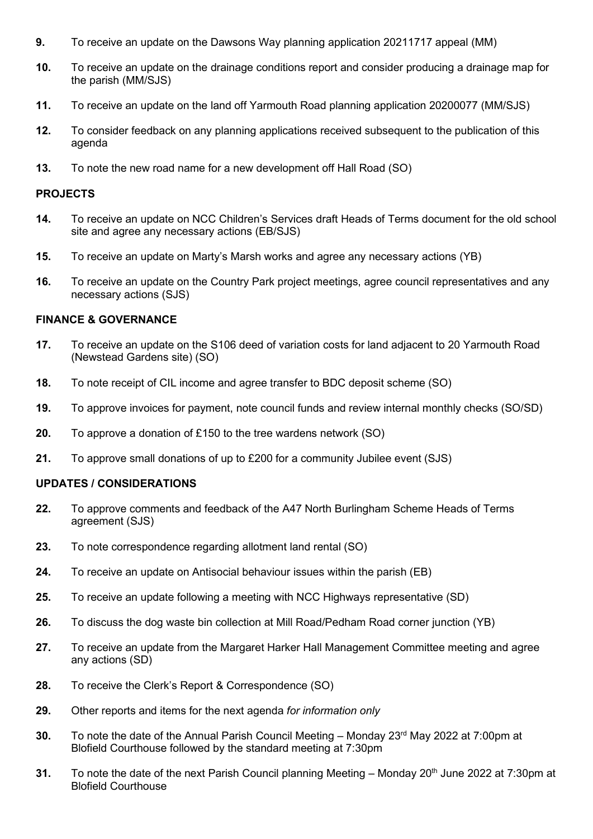- **9.** To receive an update on the Dawsons Way planning application 20211717 appeal (MM)
- **10.** To receive an update on the drainage conditions report and consider producing a drainage map for the parish (MM/SJS)
- **11.** To receive an update on the land off Yarmouth Road planning application 20200077 (MM/SJS)
- **12.** To consider feedback on any planning applications received subsequent to the publication of this agenda
- **13.** To note the new road name for a new development off Hall Road (SO)

#### **PROJECTS**

- **14.** To receive an update on NCC Children's Services draft Heads of Terms document for the old school site and agree any necessary actions (EB/SJS)
- **15.** To receive an update on Marty's Marsh works and agree any necessary actions (YB)
- **16.** To receive an update on the Country Park project meetings, agree council representatives and any necessary actions (SJS)

#### **FINANCE & GOVERNANCE**

- **17.** To receive an update on the S106 deed of variation costs for land adjacent to 20 Yarmouth Road (Newstead Gardens site) (SO)
- **18.** To note receipt of CIL income and agree transfer to BDC deposit scheme (SO)
- **19.** To approve invoices for payment, note council funds and review internal monthly checks (SO/SD)
- **20.** To approve a donation of £150 to the tree wardens network (SO)
- **21.** To approve small donations of up to £200 for a community Jubilee event (SJS)

### **UPDATES / CONSIDERATIONS**

- **22.** To approve comments and feedback of the A47 North Burlingham Scheme Heads of Terms agreement (SJS)
- **23.** To note correspondence regarding allotment land rental (SO)
- **24.** To receive an update on Antisocial behaviour issues within the parish (EB)
- **25.** To receive an update following a meeting with NCC Highways representative (SD)
- **26.** To discuss the dog waste bin collection at Mill Road/Pedham Road corner junction (YB)
- **27.** To receive an update from the Margaret Harker Hall Management Committee meeting and agree any actions (SD)
- **28.** To receive the Clerk's Report & Correspondence (SO)
- **29.** Other reports and items for the next agenda *for information only*
- **30.** To note the date of the Annual Parish Council Meeting Monday 23<sup>rd</sup> May 2022 at 7:00pm at Blofield Courthouse followed by the standard meeting at 7:30pm
- **31.** To note the date of the next Parish Council planning Meeting Monday 20<sup>th</sup> June 2022 at 7:30pm at Blofield Courthouse